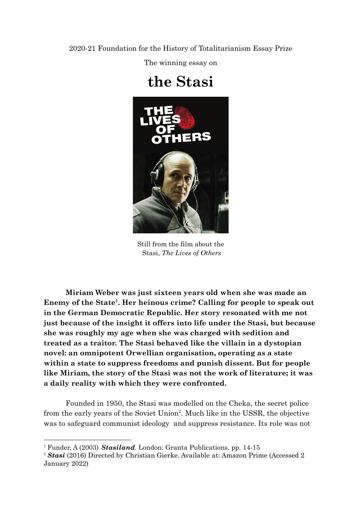2020-21 Foundation for the History of Totalitarianism Essay Prize

The winning essay on

## **the Stasi**



Still from the film about the Stasi, *The Lives of Others*

**Miriam Weber was just sixteen years old when she was made an Enemy of the State<sup>1</sup> . Her heinous crime? Calling for people to speak out in the German Democratic Republic. Her story resonated with me not just because of the insight it offers into life under the Stasi, but because she was roughly my age when she was charged with sedition and treated as a traitor. The Stasi behaved like the villain in a dystopian novel: an omnipotent Orwellian organisation, operating as a state within a state to suppress freedoms and punish dissent. But for people like Miriam, the story of the Stasi was not the work of literature; it was a daily reality with which they were confronted.**

Founded in 1950, the Stasi was modelled on the Cheka, the secret police from the early years of the Soviet Union<sup>2</sup>. Much like in the USSR, the objective was to safeguard communist ideology and suppress resistance. Its role was not

<sup>1</sup> Funder, A (2003) *Stasiland.* London: Granta Publications, pp. 14-15

<sup>&</sup>lt;sup>2</sup> *Stasi* (2016) Directed by Christian Gierke. Available at: Amazon Prime (Accessed 2) January 2022)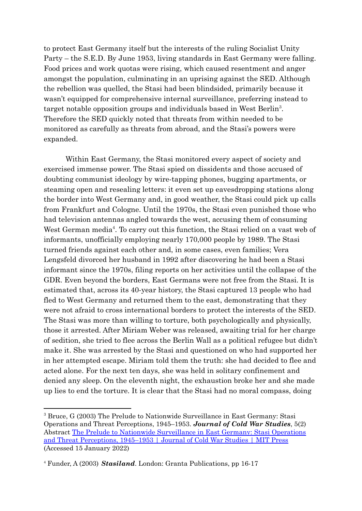to protect East Germany itself but the interests of the ruling Socialist Unity Party – the S.E.D. By June 1953, living standards in East Germany were falling. Food prices and work quotas were rising, which caused resentment and anger amongst the population, culminating in an uprising against the SED. Although the rebellion was quelled, the Stasi had been blindsided, primarily because it wasn't equipped for comprehensive internal surveillance, preferring instead to target notable opposition groups and individuals based in West Berlin<sup>3</sup>. Therefore the SED quickly noted that threats from within needed to be monitored as carefully as threats from abroad, and the Stasi's powers were expanded.

Within East Germany, the Stasi monitored every aspect of society and exercised immense power. The Stasi spied on dissidents and those accused of doubting communist ideology by wire-tapping phones, bugging apartments, or steaming open and resealing letters: it even set up eavesdropping stations along the border into West Germany and, in good weather, the Stasi could pick up calls from Frankfurt and Cologne. Until the 1970s, the Stasi even punished those who had television antennas angled towards the west, accusing them of consuming West German media<sup>4</sup>. To carry out this function, the Stasi relied on a vast web of informants, unofficially employing nearly 170,000 people by 1989. The Stasi turned friends against each other and, in some cases, even families; Vera Lengsfeld divorced her husband in 1992 after discovering he had been a Stasi informant since the 1970s, filing reports on her activities until the collapse of the GDR. Even beyond the borders, East Germans were not free from the Stasi. It is estimated that, across its 40-year history, the Stasi captured 13 people who had fled to West Germany and returned them to the east, demonstrating that they were not afraid to cross international borders to protect the interests of the SED. The Stasi was more than willing to torture, both psychologically and physically, those it arrested. After Miriam Weber was released, awaiting trial for her charge of sedition, she tried to flee across the Berlin Wall as a political refugee but didn't make it. She was arrested by the Stasi and questioned on who had supported her in her attempted escape. Miriam told them the truth: she had decided to flee and acted alone. For the next ten days, she was held in solitary confinement and denied any sleep. On the eleventh night, the exhaustion broke her and she made up lies to end the torture. It is clear that the Stasi had no moral compass, doing

<sup>3</sup> Bruce, G (2003) The Prelude to Nationwide Surveillance in East Germany: Stasi Operations and Threat Perceptions, 1945–1953. *Journal of Cold War Studies*, 5(2) Abstract The Prelude to Nationwide [Surveillance](https://direct.mit.edu/jcws/article-abstract/5/2/3/13944/The-Prelude-to-Nationwide-Surveillance-in-East?redirectedFrom=fulltext) in East Germany: Stasi Operations and Threat [Perceptions,](https://direct.mit.edu/jcws/article-abstract/5/2/3/13944/The-Prelude-to-Nationwide-Surveillance-in-East?redirectedFrom=fulltext) 1945–1953 | Journal of Cold War Studies | MIT Press (Accessed 15 January 2022)

<sup>4</sup> Funder, A (2003) *Stasiland*. London: Granta Publications, pp 16-17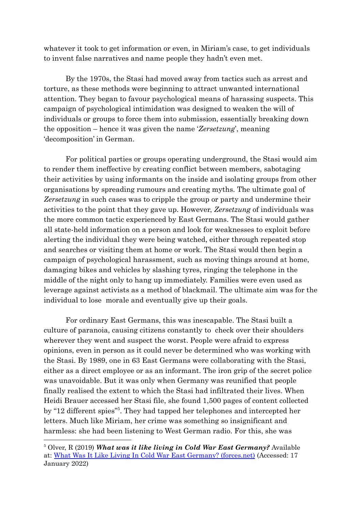whatever it took to get information or even, in Miriam's case, to get individuals to invent false narratives and name people they hadn't even met.

By the 1970s, the Stasi had moved away from tactics such as arrest and torture, as these methods were beginning to attract unwanted international attention. They began to favour psychological means of harassing suspects. This campaign of psychological intimidation was designed to weaken the will of individuals or groups to force them into submission, essentially breaking down the opposition – hence it was given the name '*Zersetzung*', meaning 'decomposition' in German.

For political parties or groups operating underground, the Stasi would aim to render them ineffective by creating conflict between members, sabotaging their activities by using informants on the inside and isolating groups from other organisations by spreading rumours and creating myths. The ultimate goal of *Zersetzung* in such cases was to cripple the group or party and undermine their activities to the point that they gave up. However, *Zersetzung* of individuals was the more common tactic experienced by East Germans. The Stasi would gather all state-held information on a person and look for weaknesses to exploit before alerting the individual they were being watched, either through repeated stop and searches or visiting them at home or work. The Stasi would then begin a campaign of psychological harassment, such as moving things around at home, damaging bikes and vehicles by slashing tyres, ringing the telephone in the middle of the night only to hang up immediately. Families were even used as leverage against activists as a method of blackmail. The ultimate aim was for the individual to lose morale and eventually give up their goals.

For ordinary East Germans, this was inescapable. The Stasi built a culture of paranoia, causing citizens constantly to check over their shoulders wherever they went and suspect the worst. People were afraid to express opinions, even in person as it could never be determined who was working with the Stasi. By 1989, one in 63 East Germans were collaborating with the Stasi, either as a direct employee or as an informant. The iron grip of the secret police was unavoidable. But it was only when Germany was reunified that people finally realised the extent to which the Stasi had infiltrated their lives. When Heidi Brauer accessed her Stasi file, she found 1,500 pages of content collected by "12 different spies"<sup>5</sup> . They had tapped her telephones and intercepted her letters. Much like Miriam, her crime was something so insignificant and harmless: she had been listening to West German radio. For this, she was

<sup>5</sup> Olver, R (2019) *What was it like living in Cold War East Germany?* Available at: What Was It Like Living In Cold War East Germany? [\(forces.net\)](https://www.forces.net/news/what-was-it-living-cold-war-east-germany) (Accessed: 17 January 2022)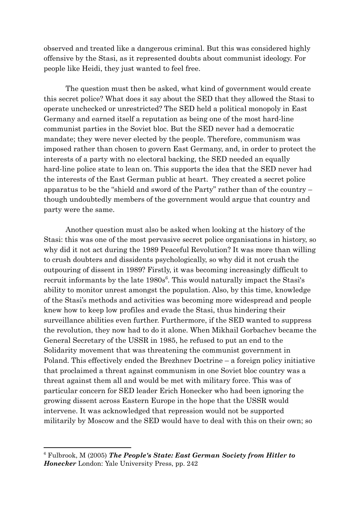observed and treated like a dangerous criminal. But this was considered highly offensive by the Stasi, as it represented doubts about communist ideology. For people like Heidi, they just wanted to feel free.

The question must then be asked, what kind of government would create this secret police? What does it say about the SED that they allowed the Stasi to operate unchecked or unrestricted? The SED held a political monopoly in East Germany and earned itself a reputation as being one of the most hard-line communist parties in the Soviet bloc. But the SED never had a democratic mandate; they were never elected by the people. Therefore, communism was imposed rather than chosen to govern East Germany, and, in order to protect the interests of a party with no electoral backing, the SED needed an equally hard-line police state to lean on. This supports the idea that the SED never had the interests of the East German public at heart. They created a secret police apparatus to be the "shield and sword of the Party" rather than of the country – though undoubtedly members of the government would argue that country and party were the same.

Another question must also be asked when looking at the history of the Stasi: this was one of the most pervasive secret police organisations in history, so why did it not act during the 1989 Peaceful Revolution? It was more than willing to crush doubters and dissidents psychologically, so why did it not crush the outpouring of dissent in 1989? Firstly, it was becoming increasingly difficult to recruit informants by the late 1980s<sup>6</sup>. This would naturally impact the Stasi's ability to monitor unrest amongst the population. Also, by this time, knowledge of the Stasi's methods and activities was becoming more widespread and people knew how to keep low profiles and evade the Stasi, thus hindering their surveillance abilities even further. Furthermore, if the SED wanted to suppress the revolution, they now had to do it alone. When Mikhail Gorbachev became the General Secretary of the USSR in 1985, he refused to put an end to the Solidarity movement that was threatening the communist government in Poland. This effectively ended the Brezhnev Doctrine – a foreign policy initiative that proclaimed a threat against communism in one Soviet bloc country was a threat against them all and would be met with military force. This was of particular concern for SED leader Erich Honecker who had been ignoring the growing dissent across Eastern Europe in the hope that the USSR would intervene. It was acknowledged that repression would not be supported militarily by Moscow and the SED would have to deal with this on their own; so

<sup>6</sup> Fulbrook, M (2005) *The People's State: East German Society from Hitler to Honecker* London: Yale [University](https://en.wikipedia.org/wiki/Yale_University_Press) Press, pp. 242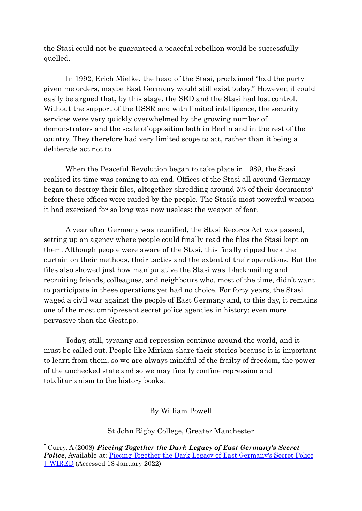the Stasi could not be guaranteed a peaceful rebellion would be successfully quelled.

In 1992, Erich Mielke, the head of the Stasi, proclaimed "had the party given me orders, maybe East Germany would still exist today." However, it could easily be argued that, by this stage, the SED and the Stasi had lost control. Without the support of the USSR and with limited intelligence, the security services were very quickly overwhelmed by the growing number of demonstrators and the scale of opposition both in Berlin and in the rest of the country. They therefore had very limited scope to act, rather than it being a deliberate act not to.

When the Peaceful Revolution began to take place in 1989, the Stasi realised its time was coming to an end. Offices of the Stasi all around Germany began to destroy their files, altogether shredding around 5% of their documents<sup>7</sup> before these offices were raided by the people. The Stasi's most powerful weapon it had exercised for so long was now useless: the weapon of fear.

A year after Germany was reunified, the Stasi Records Act was passed, setting up an agency where people could finally read the files the Stasi kept on them. Although people were aware of the Stasi, this finally ripped back the curtain on their methods, their tactics and the extent of their operations. But the files also showed just how manipulative the Stasi was: blackmailing and recruiting friends, colleagues, and neighbours who, most of the time, didn't want to participate in these operations yet had no choice. For forty years, the Stasi waged a civil war against the people of East Germany and, to this day, it remains one of the most omnipresent secret police agencies in history: even more pervasive than the Gestapo.

Today, still, tyranny and repression continue around the world, and it must be called out. People like Miriam share their stories because it is important to learn from them, so we are always mindful of the frailty of freedom, the power of the unchecked state and so we may finally confine repression and totalitarianism to the history books.

## By William Powell

St John Rigby College, Greater Manchester

<sup>7</sup> Curry, A (2008) *Piecing Together the Dark Legacy of East [Germany's](https://www.wired.com/2008/01/ff-stasi/) Secret* **Police**, [Available](https://www.wired.com/2008/01/ff-stasi/) at: Piecing Together the Dark Legacy of East [Germany's](https://www.wired.com/2008/01/ff-stasi/) Secret Police | [WIRED](https://www.wired.com/2008/01/ff-stasi/) (Accessed 18 January 2022)